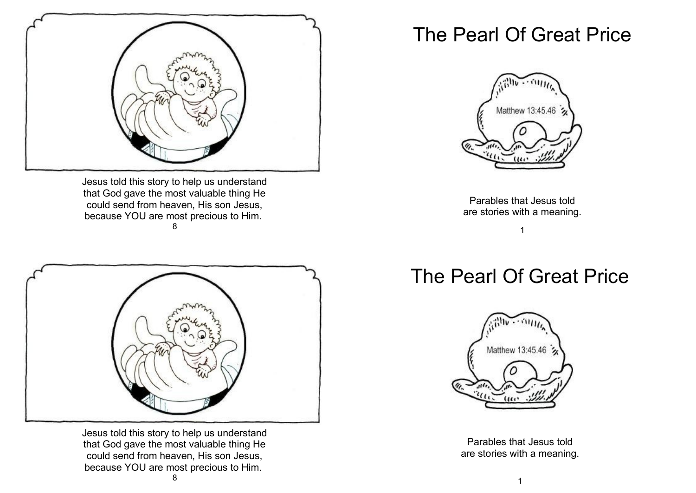

Jesus told this story to help us understand that God gave the most valuable thing He could send from heaven, His son Jesus, because YOU are most precious to Him. 8



Jesus told this story to help us understand that God gave the most valuable thing He could send from heaven, His son Jesus, because YOU are most precious to Him.

## The Pearl Of Great Price



Parables that Jesus told are stories with a meaning.

## 1

## The Pearl Of Great Price



Parables that Jesus told are stories with a meaning.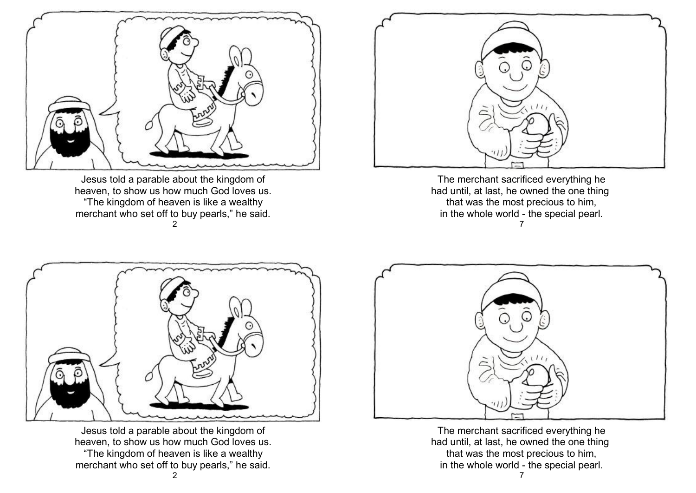

Jesus told a parable about the kingdom of heaven, to show us how much God loves us. "The kingdom of heaven is like a wealthy merchant who set off to buy pearls," he said. 2



The merchant sacrificed everything he had until, at last, he owned the one thing that was the most precious to him, in the whole world - the special pearl. 7



Jesus told a parable about the kingdom of heaven, to show us how much God loves us. "The kingdom of heaven is like a wealthy merchant who set off to buy pearls," he said. 2



The merchant sacrificed everything he had until, at last, he owned the one thing that was the most precious to him, in the whole world - the special pearl.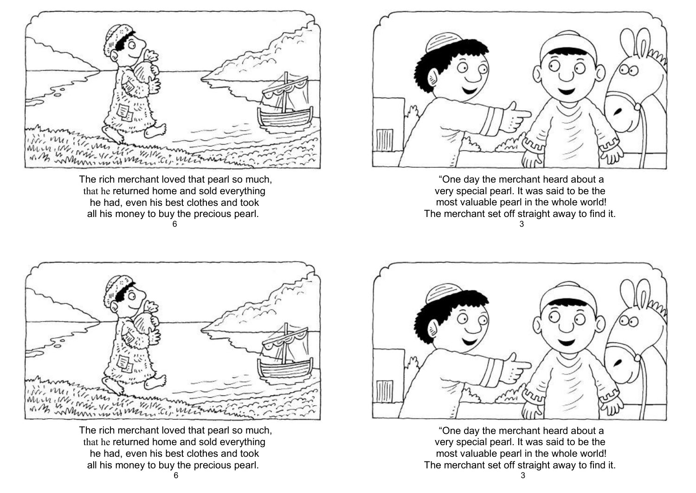

The rich merchant loved that pearl so much, that he returned home and sold everything he had, even his best clothes and took all his money to buy the precious pearl. 6



"One day the merchant heard about a very special pearl. It was said to be the most valuable pearl in the whole world! The merchant set off straight away to find it. 3



The rich merchant loved that pearl so much, that he returned home and sold everything he had, even his best clothes and took all his money to buy the precious pearl.



"One day the merchant heard about a very special pearl. It was said to be the most valuable pearl in the whole world! The merchant set off straight away to find it.